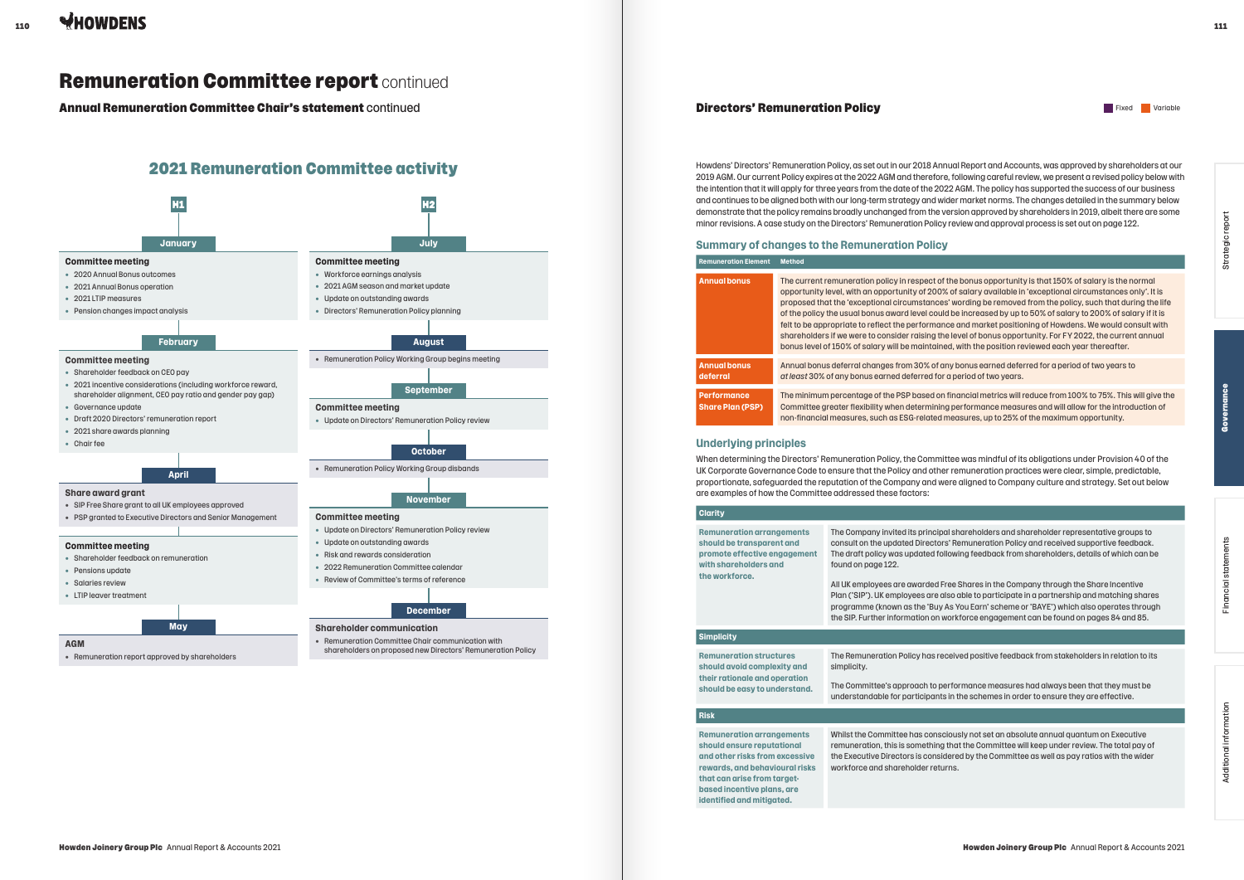# **Directors' Remuneration Policy Fixed Variable Structure Controller** Fixed Variable

 $111$ 



Howdens' Directors' Remuneration Policy, as set out in our 2018 Annual Report and Accounts, was approved by shareholders at our 2019 AGM. Our current Policy expires at the 2022 AGM and therefore, following careful review, we present a revised policy below with the intention that it will apply for three years from the date of the 2022 AGM. The policy has supported the success of our business and continues to be aligned both with our long-term strategy and wider market norms. The changes detailed in the summary below demonstrate that the policy remains broadly unchanged from the version approved by shareholders in 2019, albeit there are some minor revisions. A case study on the Directors' Remuneration Policy review and approval process is set out on page 122.

# **Summary of changes to the Remuneration Policy**

| <b>Remuneration Element</b>                   | <b>Method</b>                                                                                                                                                                                                                                                                                                                                                                                                                                                                                                                                                                                                                                                                                                                                                                                 |
|-----------------------------------------------|-----------------------------------------------------------------------------------------------------------------------------------------------------------------------------------------------------------------------------------------------------------------------------------------------------------------------------------------------------------------------------------------------------------------------------------------------------------------------------------------------------------------------------------------------------------------------------------------------------------------------------------------------------------------------------------------------------------------------------------------------------------------------------------------------|
| <b>Annual bonus</b>                           | The current remuneration policy in respect of the bonus opportunity is that 150% of salary is the normal<br>opportunity level, with an opportunity of 200% of salary available in 'exceptional circumstances only'. It is<br>proposed that the 'exceptional circumstances' wording be removed from the policy, such that during the life<br>of the policy the usual bonus award level could be increased by up to 50% of salary to 200% of salary if it is<br>felt to be appropriate to reflect the performance and market positioning of Howdens. We would consult with<br>shareholders if we were to consider raising the level of bonus opportunity. For FY 2022, the current annual<br>bonus level of 150% of salary will be maintained, with the position reviewed each year thereafter. |
| <b>Annual bonus</b><br>deferral               | Annual bonus deferral changes from 30% of any bonus earned deferred for a period of two years to<br>at least 30% of any bonus earned deferred for a period of two years.                                                                                                                                                                                                                                                                                                                                                                                                                                                                                                                                                                                                                      |
| <b>Performance</b><br><b>Share Plan (PSP)</b> | The minimum percentage of the PSP based on financial metrics will reduce from 100% to 75%. This will give the<br>Committee greater flexibility when determining performance measures and will allow for the introduction of<br>non-financial measures, such as ESG-related measures, up to 25% of the maximum opportunity.                                                                                                                                                                                                                                                                                                                                                                                                                                                                    |

# **Underlying principles**

When determining the Directors' Remuneration Policy, the Committee was mindful of its obligations under Provision 40 of the UK Corporate Governance Code to ensure that the Policy and other remuneration practices were clear, simple, predictable, proportionate, safeguarded the reputation of the Company and were aligned to Company culture and strategy. Set out below are examples of how the Committee addressed these factors:

| <b>Clarity</b>                                                                                                                           |                                                                                                                                                                                                                                                                                                                                                                                                                                                                                                                                                                                                                                                                                   |
|------------------------------------------------------------------------------------------------------------------------------------------|-----------------------------------------------------------------------------------------------------------------------------------------------------------------------------------------------------------------------------------------------------------------------------------------------------------------------------------------------------------------------------------------------------------------------------------------------------------------------------------------------------------------------------------------------------------------------------------------------------------------------------------------------------------------------------------|
| <b>Remuneration arrangements</b><br>should be transparent and<br>promote effective engagement<br>with shareholders and<br>the workforce. | The Company invited its principal shareholders and shareholder representative groups to<br>consult on the updated Directors' Remuneration Policy and received supportive feedback.<br>The draft policy was updated following feedback from shareholders, details of which can be<br>found on page 122.<br>All UK employees are awarded Free Shares in the Company through the Share Incentive<br>Plan ('SIP'). UK employees are also able to participate in a partnership and matching shares<br>programme (known as the 'Buy As You Earn' scheme or 'BAYE') which also operates through<br>the SIP. Further information on workforce engagement can be found on pages 84 and 85. |
| <b>Simplicity</b>                                                                                                                        |                                                                                                                                                                                                                                                                                                                                                                                                                                                                                                                                                                                                                                                                                   |
|                                                                                                                                          |                                                                                                                                                                                                                                                                                                                                                                                                                                                                                                                                                                                                                                                                                   |
| <b>Remuneration structures</b><br>should avoid complexity and<br>their rationale and operation                                           | The Remuneration Policy has received positive feedback from stakeholders in relation to its<br>simplicity.<br>The Committee's approach to performance measures had always been that they must be                                                                                                                                                                                                                                                                                                                                                                                                                                                                                  |
| should be easy to understand.                                                                                                            | understandable for participants in the schemes in order to ensure they are effective.                                                                                                                                                                                                                                                                                                                                                                                                                                                                                                                                                                                             |
| <b>Risk</b>                                                                                                                              |                                                                                                                                                                                                                                                                                                                                                                                                                                                                                                                                                                                                                                                                                   |
|                                                                                                                                          |                                                                                                                                                                                                                                                                                                                                                                                                                                                                                                                                                                                                                                                                                   |
| <b>Remuneration arrangements</b><br>chould oneuro roputational                                                                           | Whilst the Committee has consciously not set an absolute annual quantum on Executive<br>comuneration, this is semathing that the Committee will keep under review. The total nay of                                                                                                                                                                                                                                                                                                                                                                                                                                                                                               |

**should ensure reputational and other risks from excessive rewards, and behavioural risks that can arise from targetbased incentive plans, are identified and mitigated.**

remuneration, this is something that the Committee will keep under review. The total pay of the Executive Directors is considered by the Committee as well as pay ratios with the wider workforce and shareholder returns.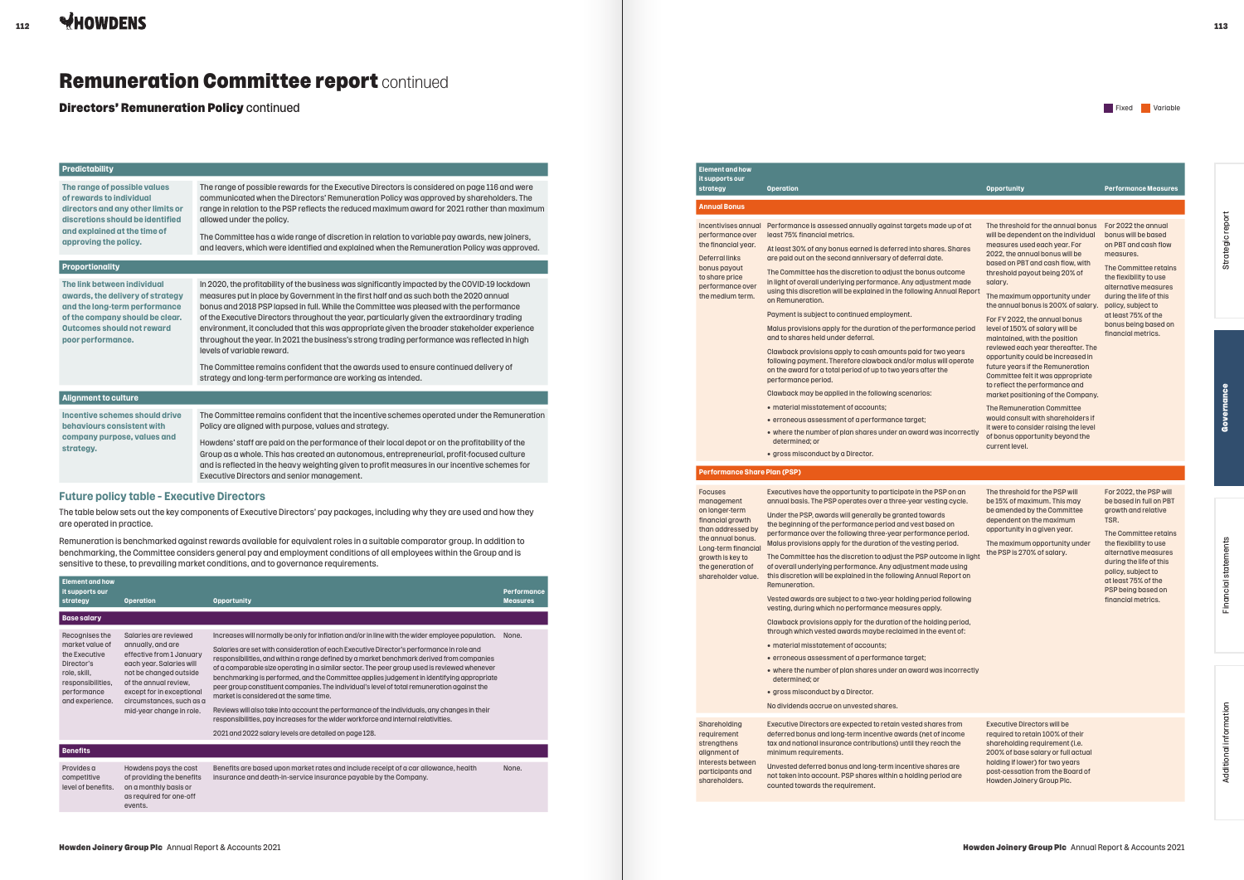#### **Predictability**

**The range of possible values of rewards to individual directors and any other limits or discretions should be identified and explained at the time of approving the policy.**

The range of possible rewards for the Executive Directors is considered on page 116 and were communicated when the Directors' Remuneration Policy was approved by shareholders. The range in relation to the PSP reflects the reduced maximum award for 2021 rather than maximum allowed under the policy.

The Committee has a wide range of discretion in relation to variable pay awards, new joiners, and leavers, which were identified and explained when the Remuneration Policy was approved.

#### **Proportionality**

**The link between individual awards, the delivery of strategy and the long-term performance of the company should be clear. Outcomes should not reward poor performance.**

In 2020, the profitability of the business was significantly impacted by the COVID-19 lockdown measures put in place by Government in the first half and as such both the 2020 annual bonus and 2018 PSP lapsed in full. While the Committee was pleased with the performance of the Executive Directors throughout the year, particularly given the extraordinary trading environment, it concluded that this was appropriate given the broader stakeholder experience throughout the year. In 2021 the business's strong trading performance was reflected in high levels of variable reward.

The Committee remains confident that the awards used to ensure continued delivery of strategy and long-term performance are working as intended.

### **Alignment to culture**

**Incentive schemes should drive behaviours consistent with company purpose, values and strategy.**

The Committee remains confident that the incentive schemes operated under the Remuneration Policy are aligned with purpose, values and strategy.

Howdens' staff are paid on the performance of their local depot or on the profitability of the Group as a whole. This has created an autonomous, entrepreneurial, profit-focused culture and is reflected in the heavy weighting given to profit measures in our incentive schemes for Executive Directors and senior management.

## **Future policy table – Executive Directors**

The table below sets out the key components of Executive Directors' pay packages, including why they are used and how they are operated in practice.

Remuneration is benchmarked against rewards available for equivalent roles in a suitable comparator group. In addition to benchmarking, the Committee considers general pay and employment conditions of all employees within the Group and is sensitive to these, to prevailing market conditions, and to governance requirements.

| <b>Element and how</b><br>it supports our<br>strategy                                                                                   | <b>Operation</b>                                                                                                                                                                                                                           | <b>Opportunity</b>                                                                                                                                                                                                                                                                                                                                                                                                                                                                                                                                                                                                                                                                                                                                                                                                                                                            | <b>Performance</b><br><b>Measures</b> |
|-----------------------------------------------------------------------------------------------------------------------------------------|--------------------------------------------------------------------------------------------------------------------------------------------------------------------------------------------------------------------------------------------|-------------------------------------------------------------------------------------------------------------------------------------------------------------------------------------------------------------------------------------------------------------------------------------------------------------------------------------------------------------------------------------------------------------------------------------------------------------------------------------------------------------------------------------------------------------------------------------------------------------------------------------------------------------------------------------------------------------------------------------------------------------------------------------------------------------------------------------------------------------------------------|---------------------------------------|
| <b>Base salary</b>                                                                                                                      |                                                                                                                                                                                                                                            |                                                                                                                                                                                                                                                                                                                                                                                                                                                                                                                                                                                                                                                                                                                                                                                                                                                                               |                                       |
| Recognises the<br>market value of<br>the Executive<br>Director's<br>role, skill,<br>responsibilities,<br>performance<br>and experience. | Salaries are reviewed<br>annually, and are<br>effective from 1 January<br>each year. Salaries will<br>not be changed outside<br>of the annual review.<br>except for in exceptional<br>circumstances, such as a<br>mid-year change in role. | Increases will normally be only for inflation and/or in line with the wider employee population.<br>Salaries are set with consideration of each Executive Director's performance in role and<br>responsibilities, and within a range defined by a market benchmark derived from companies<br>of a comparable size operating in a similar sector. The peer group used is reviewed whenever<br>benchmarking is performed, and the Committee applies judgement in identifying appropriate<br>peer group constituent companies. The individual's level of total remuneration against the<br>market is considered at the same time.<br>Reviews will also take into account the performance of the individuals, any changes in their<br>responsibilities, pay increases for the wider workforce and internal relativities.<br>2021 and 2022 salary levels are detailed on page 128. | None.                                 |
| <b>Benefits</b>                                                                                                                         |                                                                                                                                                                                                                                            |                                                                                                                                                                                                                                                                                                                                                                                                                                                                                                                                                                                                                                                                                                                                                                                                                                                                               |                                       |
| Provides a<br>competitive<br>level of benefits.                                                                                         | Howdens pays the cost<br>of providing the benefits<br>on a monthly basis or<br>as required for one-off<br>events.                                                                                                                          | Benefits are based upon market rates and include receipt of a car allowance, health<br>insurance and death-in-service insurance payable by the Company.                                                                                                                                                                                                                                                                                                                                                                                                                                                                                                                                                                                                                                                                                                                       | None.                                 |

Directors' Remuneration Policy continued

# Remuneration Committee report continued

#### **Element and how it supports our**

#### **Annual Bonus**

the financial year. Deferral links

> Additional information Additional information

- material misstatement of accounts;
- erroneous assessment of a performance target;
	- $\bullet$  where the number of plan shares under an award was determined; or
	- gross misconduct by a Director.

| <b>Operation</b>                                                                                                                                                                                                                                                                                                                                                                                                                                                                                                                                                                                                                                                                                                                                                                                                                                                                                                                                                                                                                                                                            |                                                                                                                                                                                                                                                                                                                                                                                                                                                                                                                                                                                                                                                                                                                                                                                                        |                                                                                                                                                                                                                                                                                  |
|---------------------------------------------------------------------------------------------------------------------------------------------------------------------------------------------------------------------------------------------------------------------------------------------------------------------------------------------------------------------------------------------------------------------------------------------------------------------------------------------------------------------------------------------------------------------------------------------------------------------------------------------------------------------------------------------------------------------------------------------------------------------------------------------------------------------------------------------------------------------------------------------------------------------------------------------------------------------------------------------------------------------------------------------------------------------------------------------|--------------------------------------------------------------------------------------------------------------------------------------------------------------------------------------------------------------------------------------------------------------------------------------------------------------------------------------------------------------------------------------------------------------------------------------------------------------------------------------------------------------------------------------------------------------------------------------------------------------------------------------------------------------------------------------------------------------------------------------------------------------------------------------------------------|----------------------------------------------------------------------------------------------------------------------------------------------------------------------------------------------------------------------------------------------------------------------------------|
|                                                                                                                                                                                                                                                                                                                                                                                                                                                                                                                                                                                                                                                                                                                                                                                                                                                                                                                                                                                                                                                                                             | <b>Opportunity</b>                                                                                                                                                                                                                                                                                                                                                                                                                                                                                                                                                                                                                                                                                                                                                                                     | <b>Performance Measures</b>                                                                                                                                                                                                                                                      |
|                                                                                                                                                                                                                                                                                                                                                                                                                                                                                                                                                                                                                                                                                                                                                                                                                                                                                                                                                                                                                                                                                             |                                                                                                                                                                                                                                                                                                                                                                                                                                                                                                                                                                                                                                                                                                                                                                                                        |                                                                                                                                                                                                                                                                                  |
| Performance is assessed annually against targets made up of at<br>least 75% financial metrics.<br>At least 30% of any bonus earned is deferred into shares. Shares<br>are paid out on the second anniversary of deferral date.<br>The Committee has the discretion to adjust the bonus outcome<br>in light of overall underlying performance. Any adjustment made<br>using this discretion will be explained in the following Annual Report<br>on Remuneration.<br>Payment is subject to continued employment.<br>Malus provisions apply for the duration of the performance period<br>and to shares held under deferral.<br>Clawback provisions apply to cash amounts paid for two years<br>following payment. Therefore clawback and/or malus will operate<br>on the award for a total period of up to two years after the<br>performance period.<br>Clawback may be applied in the following scenarios:<br>• material misstatement of accounts;<br>• erroneous assessment of a performance target;<br>• where the number of plan shares under an award was incorrectly<br>determined; or | The threshold for the annual bonus<br>will be dependent on the individual<br>measures used each year. For<br>2022, the annual bonus will be<br>based on PBT and cash flow, with<br>threshold payout being 20% of<br>salary.<br>The maximum opportunity under<br>the annual bonus is 200% of salary.<br>For FY 2022, the annual bonus<br>level of 150% of salary will be<br>maintained, with the position<br>reviewed each year thereafter. The<br>opportunity could be increased in<br>future years if the Remuneration<br>Committee felt it was appropriate<br>to reflect the performance and<br>market positioning of the Company.<br>The Remuneration Committee<br>would consult with shareholders if<br>it were to consider raising the level<br>of bonus opportunity beyond the<br>current level. | For 2022 the annual<br>bonus will be based<br>on PBT and cash flow<br>measures.<br>The Committee retains<br>the flexibility to use<br>alternative measures<br>during the life of this<br>policy, subject to<br>at least 75% of the<br>bonus being based on<br>financial metrics. |
| <b>Performance Share Plan (PSP)</b>                                                                                                                                                                                                                                                                                                                                                                                                                                                                                                                                                                                                                                                                                                                                                                                                                                                                                                                                                                                                                                                         |                                                                                                                                                                                                                                                                                                                                                                                                                                                                                                                                                                                                                                                                                                                                                                                                        |                                                                                                                                                                                                                                                                                  |
| Executives have the opportunity to participate in the PSP on an<br>annual basis. The PSP operates over a three-year vesting cycle.<br>Under the PSP, awards will generally be granted towards<br>the beginning of the performance period and vest based on<br>performance over the following three-year performance period.<br>Malus provisions apply for the duration of the vesting period.<br>The Committee has the discretion to adjust the PSP outcome in light<br>of overall underlying performance. Any adjustment made using<br>this discretion will be explained in the following Annual Report on<br>Remuneration.<br>Vested awards are subject to a two-year holding period following<br>vesting, during which no performance measures apply.<br>Clawback provisions apply for the duration of the holding period,<br>through which vested awards maybe reclaimed in the event of:<br>• material misstatement of accounts:<br>• erroneous assessment of a performance target;<br>• where the number of plan shares under an award was incorrectly<br>determined; or              | The threshold for the PSP will<br>be 15% of maximum. This may<br>be amended by the Committee<br>dependent on the maximum<br>opportunity in a given year.<br>The maximum opportunity under<br>the PSP is 270% of salary.                                                                                                                                                                                                                                                                                                                                                                                                                                                                                                                                                                                | For 2022, the PSP will<br>be based in full on PBT<br>growth and relative<br>TSR.<br>The Committee retains<br>the flexibility to use<br>alternative measures<br>during the life of this<br>policy, subject to<br>at least 75% of the<br>PSP being based on<br>financial metrics.  |
|                                                                                                                                                                                                                                                                                                                                                                                                                                                                                                                                                                                                                                                                                                                                                                                                                                                                                                                                                                                                                                                                                             | • gross misconduct by a Director.<br>• gross misconduct by a Director.                                                                                                                                                                                                                                                                                                                                                                                                                                                                                                                                                                                                                                                                                                                                 |                                                                                                                                                                                                                                                                                  |

#### **Performance Share Plan (PSP)**

#### Focuses management on longer-term financial growth than addressed by the annual bonus. Long-term financial growth is key to

- material misstatement of accounts;
- erroneous assessment of a performance target;  $\bullet$  where the number of plan shares under an award w
- determined; or
- gross misconduct by a Director.

No dividends accrue on unvested shares.

shareholders.

Shareholding requirement strengthens alignment of interests between participants and minimum requirements.

Executive Directors are expected to retain vested shares from deferred bonus and long-term incentive awards (net of income tax and national insurance contributions) until they reach the

Unvested deferred bonus and long-term incentive shares are not taken into account. PSP shares within a holding period are counted towards the requirement.

Executive Directors will be required to retain 100% of their shareholding requirement (i.e. 200% of base salary or full actual holding if lower) for two years post-cessation from the Board of Howden Joinery Group Plc.

Strategic report

Strategic report

Governance

-ē

Financial statements

Financial statements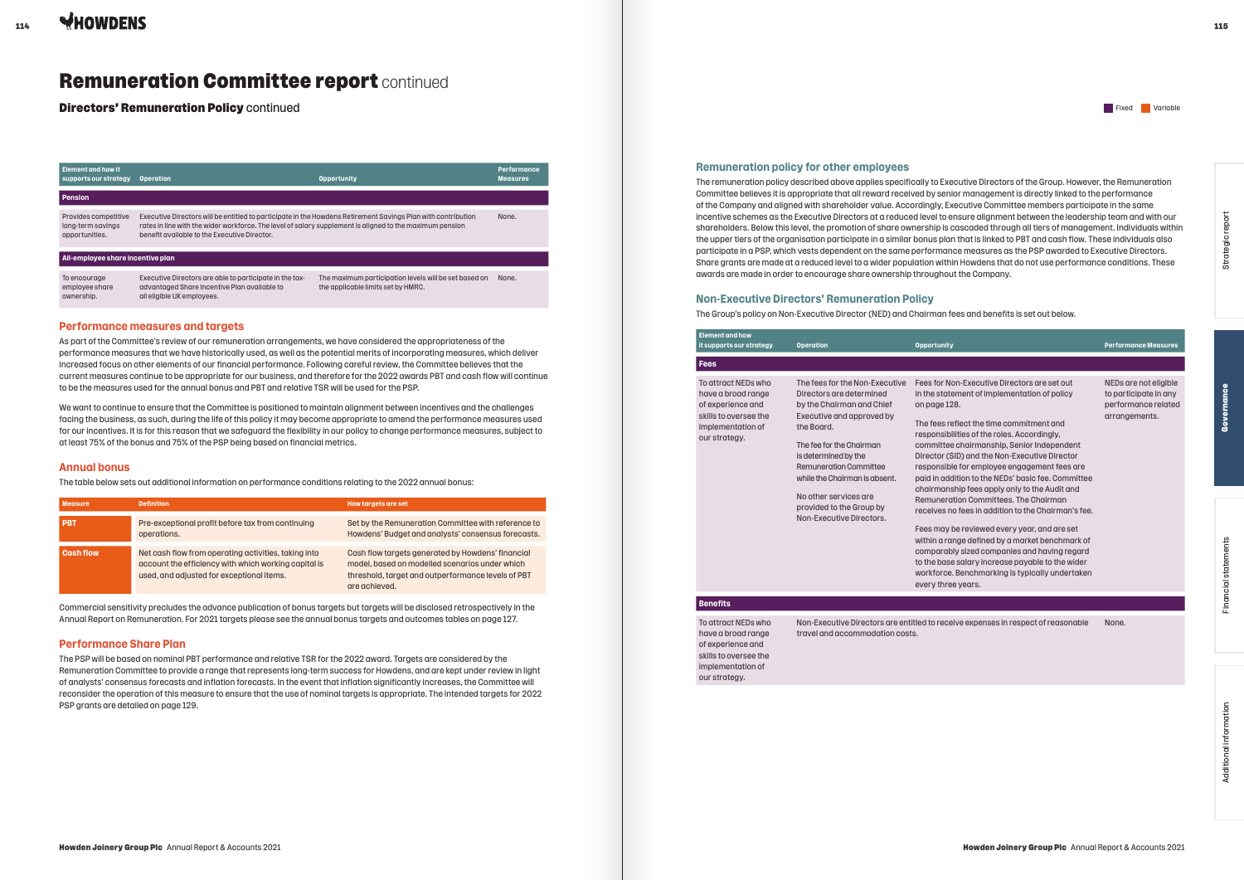| Element and how it<br>supports our strategy                 | <b>Operation</b>                                                                                                                                                                                                                                                         | <b>Opportunity</b>                                                                          | <b>Performance</b><br><b>Measures</b> |
|-------------------------------------------------------------|--------------------------------------------------------------------------------------------------------------------------------------------------------------------------------------------------------------------------------------------------------------------------|---------------------------------------------------------------------------------------------|---------------------------------------|
| Pension                                                     |                                                                                                                                                                                                                                                                          |                                                                                             |                                       |
| Provides competitive<br>long-term savings<br>opportunities. | Executive Directors will be entitled to participate in the Howdens Retirement Savings Plan with contribution<br>rates in line with the wider workforce. The level of salary supplement is aligned to the maximum pension<br>benefit available to the Executive Director. |                                                                                             | None.                                 |
| All-employee share incentive plan                           |                                                                                                                                                                                                                                                                          |                                                                                             |                                       |
| To encourage<br>employee share<br>ownership.                | Executive Directors are able to participate in the tax-<br>advantaged Share Incentive Plan available to<br>all eligible UK employees.                                                                                                                                    | The maximum participation levels will be set based on<br>the applicable limits set by HMRC. | None.                                 |

## **Performance measures and targets**

As part of the Committee's review of our remuneration arrangements, we have considered the appropriateness of the performance measures that we have historically used, as well as the potential merits of incorporating measures, which deliver increased focus on other elements of our financial performance. Following careful review, the Committee believes that the current measures continue to be appropriate for our business, and therefore for the 2022 awards PBT and cash flow will continue to be the measures used for the annual bonus and PBT and relative TSR will be used for the PSP.

We want to continue to ensure that the Committee is positioned to maintain alignment between incentives and the challenges facing the business, as such, during the life of this policy it may become appropriate to amend the performance measures used for our incentives. It is for this reason that we safeguard the flexibility in our policy to change performance measures, subject to at least 75% of the bonus and 75% of the PSP being based on financial metrics.

#### **Annual bonus**

The table below sets out additional information on performance conditions relating to the 2022 annual bonus:

| <b>Measure</b>   | <b>Definition</b>                                                                                                                                         | <b>How targets are set</b>                                                                                                                                                 |
|------------------|-----------------------------------------------------------------------------------------------------------------------------------------------------------|----------------------------------------------------------------------------------------------------------------------------------------------------------------------------|
| <b>PBT</b>       | Pre-exceptional profit before tax from continuing<br>operations.                                                                                          | Set by the Remuneration Committee with reference to<br>Howdens' Budget and analysts' consensus forecasts.                                                                  |
| <b>Cash flow</b> | Net cash flow from operating activities, taking into<br>account the efficiency with which working capital is<br>used, and adjusted for exceptional items. | Cash flow targets generated by Howdens' financial<br>model, based on modelled scenarios under which<br>threshold, target and outperformance levels of PBT<br>are achieved. |

The remuneration policy described above applies specifically to Executive Directors of the Group. However, the Remuneration Committee believes it is appropriate that all reward received by senior management is directly linked to the performance of the Company and aligned with shareholder value. Accordingly, Executive Committee members participate in the same incentive schemes as the Executive Directors at a reduced level to ensure alignment between the leadership team and with our shareholders. Below this level, the promotion of share ownership is cascaded through all tiers of management. Individuals within the upper tiers of the organisation participate in a similar bonus plan that is linked to PBT and cash flow. These individuals also participate in a PSP, which vests dependent on the same performance measures as the PSP awarded to Executive Directors. Share grants are made at a reduced level to a wider population within Howdens that do not use performance conditions. These awards are made in order to encourage share ownership throughout the Company.

Commercial sensitivity precludes the advance publication of bonus targets but targets will be disclosed retrospectively in the Annual Report on Remuneration. For 2021 targets please see the annual bonus targets and outcomes tables on page 127.

### **Performance Share Plan**

The PSP will be based on nominal PBT performance and relative TSR for the 2022 award. Targets are considered by the Remuneration Committee to provide a range that represents long-term success for Howdens, and are kept under review in light of analysts' consensus forecasts and inflation forecasts. In the event that inflation significantly increases, the Committee will reconsider the operation of this measure to ensure that the use of nominal targets is appropriate. The intended targets for 2022 PSP grants are detailed on page 129.

Directors' Remuneration Policy continued

# Remuneration Committee report continued

## **Remuneration policy for other employees**

## **Non-Executive Directors' Remuneration Policy**

The Group's policy on Non-Executive Director (NED) and Chairman fees and benefits is set out below.

| <b>Element and how</b><br>it supports our strategy                                                                            | <b>Operation</b>                                                                                                                                                                                                                                                                                                                          | <b>Opportunity</b>                                                                                                                                                                                                                                                                                                                                                                                                                                                                                                                                                                                                                                                                                                                                                                                                                            | <b>Performance Measures</b>                                                            |
|-------------------------------------------------------------------------------------------------------------------------------|-------------------------------------------------------------------------------------------------------------------------------------------------------------------------------------------------------------------------------------------------------------------------------------------------------------------------------------------|-----------------------------------------------------------------------------------------------------------------------------------------------------------------------------------------------------------------------------------------------------------------------------------------------------------------------------------------------------------------------------------------------------------------------------------------------------------------------------------------------------------------------------------------------------------------------------------------------------------------------------------------------------------------------------------------------------------------------------------------------------------------------------------------------------------------------------------------------|----------------------------------------------------------------------------------------|
| Fees                                                                                                                          |                                                                                                                                                                                                                                                                                                                                           |                                                                                                                                                                                                                                                                                                                                                                                                                                                                                                                                                                                                                                                                                                                                                                                                                                               |                                                                                        |
| To attract NEDs who<br>have a broad range<br>of experience and<br>skills to oversee the<br>implementation of<br>our strategy. | The fees for the Non-Executive<br>Directors are determined<br>by the Chairman and Chief<br>Executive and approved by<br>the Board.<br>The fee for the Chairman<br>is determined by the<br><b>Remuneration Committee</b><br>while the Chairman is absent.<br>No other services are<br>provided to the Group by<br>Non-Executive Directors. | Fees for Non-Executive Directors are set out<br>in the statement of implementation of policy<br>on page 128.<br>The fees reflect the time commitment and<br>responsibilities of the roles. Accordingly,<br>committee chairmanship, Senior Independent<br>Director (SID) and the Non-Executive Director<br>responsible for employee engagement fees are<br>paid in addition to the NEDs' basic fee. Committee<br>chairmanship fees apply only to the Audit and<br>Remuneration Committees. The Chairman<br>receives no fees in addition to the Chairman's fee.<br>Fees may be reviewed every year, and are set<br>within a range defined by a market benchmark of<br>comparably sized companies and having regard<br>to the base salary increase payable to the wider<br>workforce. Benchmarking is typically undertaken<br>every three years. | NEDs are not eligible<br>to participate in any<br>performance related<br>arrangements. |
| <b>Benefits</b>                                                                                                               |                                                                                                                                                                                                                                                                                                                                           |                                                                                                                                                                                                                                                                                                                                                                                                                                                                                                                                                                                                                                                                                                                                                                                                                                               |                                                                                        |
| To attract NEDs who<br>have a broad range<br>of experience and<br>skills to oversee the<br>implementation of<br>our strategy. | travel and accommodation costs.                                                                                                                                                                                                                                                                                                           | Non-Executive Directors are entitled to receive expenses in respect of reasonable                                                                                                                                                                                                                                                                                                                                                                                                                                                                                                                                                                                                                                                                                                                                                             | None.                                                                                  |

**Fixed** Variable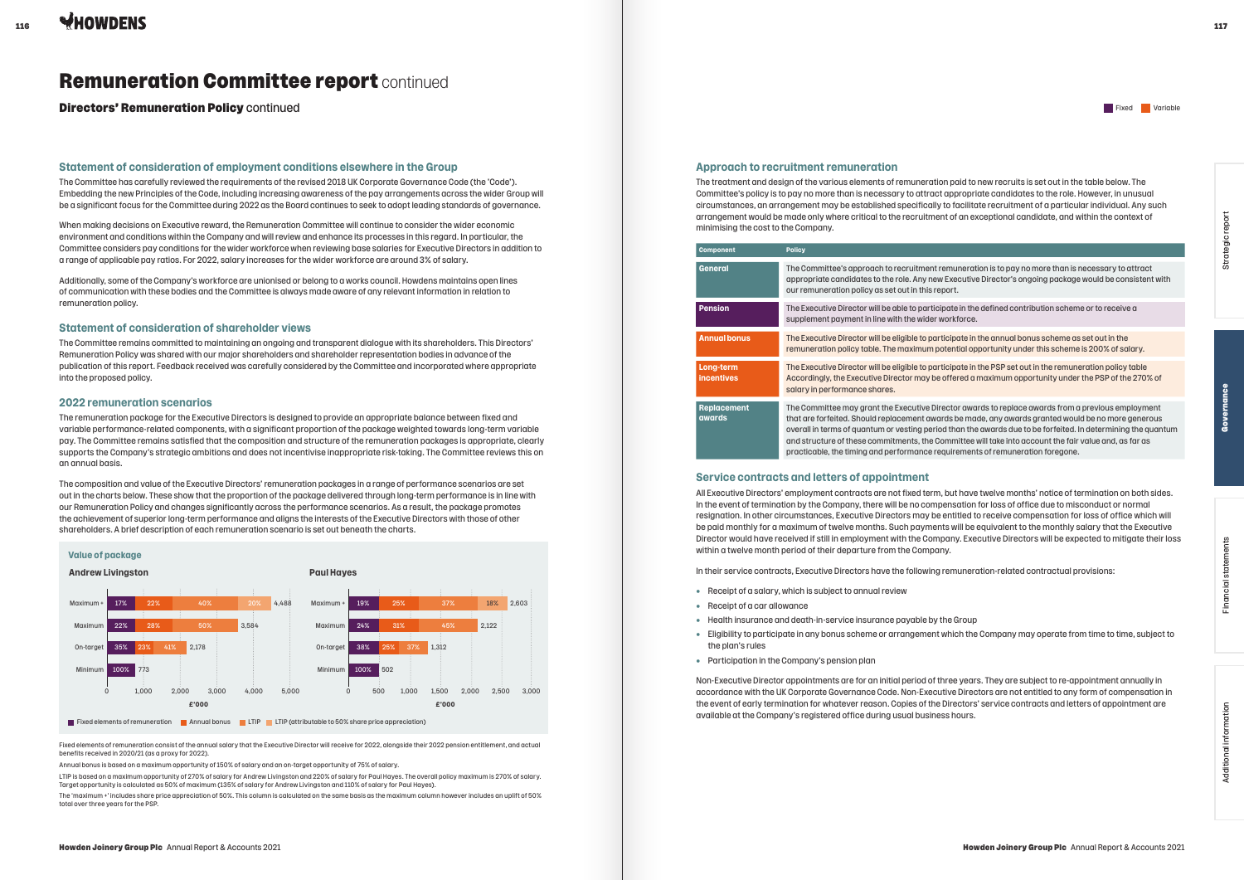Directors' Remuneration Policy continued

# Remuneration Committee report continued

#### **Statement of consideration of employment conditions elsewhere in the Group**

The Committee has carefully reviewed the requirements of the revised 2018 UK Corporate Governance Code (the 'Code'). Embedding the new Principles of the Code, including increasing awareness of the pay arrangements across the wider Group will be a significant focus for the Committee during 2022 as the Board continues to seek to adopt leading standards of governance.

When making decisions on Executive reward, the Remuneration Committee will continue to consider the wider economic environment and conditions within the Company and will review and enhance its processes in this regard. In particular, the Committee considers pay conditions for the wider workforce when reviewing base salaries for Executive Directors in addition to a range of applicable pay ratios. For 2022, salary increases for the wider workforce are around 3% of salary.

Additionally, some of the Company's workforce are unionised or belong to a works council. Howdens maintains open lines of communication with these bodies and the Committee is always made aware of any relevant information in relation to remuneration policy.

### **Statement of consideration of shareholder views**

The Committee remains committed to maintaining an ongoing and transparent dialogue with its shareholders. This Directors' Remuneration Policy was shared with our major shareholders and shareholder representation bodies in advance of the publication of this report. Feedback received was carefully considered by the Committee and incorporated where appropriate into the proposed policy.

**General** The Committee's approach to recruitment remuneration is to pay no more than is necessary to attract ew Executive Director's ongoing package would be consistent with report.

### **2022 remuneration scenarios**

**Pension** The Executive Director will be able to participate in the defined contribution scheme or to receive a supplement with the wider in the wider.

**Annual bonus** The Executive Director will be eligible to participate in the annual bonus scheme as set out in the potential opportunity under this scheme is 200% of salary.

Inticipate in the PSP set out in the remuneration policy table e offered a maximum opportunity under the PSP of the 270% of

 $\theta$  irector awards to replace awards from a previous employment  $\alpha$  ards be made, any awards aranted would be no more generous iod than the awards due to be forfeited. In determining the quantum Committee will take into account the fair value and, as far as requirements of remuneration foregone.

The remuneration package for the Executive Directors is designed to provide an appropriate balance between fixed and variable performance-related components, with a significant proportion of the package weighted towards long-term variable pay. The Committee remains satisfied that the composition and structure of the remuneration packages is appropriate, clearly supports the Company's strategic ambitions and does not incentivise inappropriate risk-taking. The Committee reviews this on an annual basis.

The composition and value of the Executive Directors' remuneration packages in a range of performance scenarios are set out in the charts below. These show that the proportion of the package delivered through long-term performance is in line with our Remuneration Policy and changes significantly across the performance scenarios. As a result, the package promotes the achievement of superior long-term performance and aligns the interests of the Executive Directors with those of other shareholders. A brief description of each remuneration scenario is set out beneath the charts.

#### **Approach to recruitment remuneration**

The treatment and design of the various elements of remuneration paid to new recruits is set out in the table below. The Committee's policy is to pay no more than is necessary to attract appropriate candidates to the role. However, in unusual circumstances, an arrangement may be established specifically to facilitate recruitment of a particular individual. Any such arrangement would be made only where critical to the recruitment of an exceptional candidate, and within the context of minimising the cost to the Company.

| <b>Component</b>               | <b>Policy</b>                                                                                                                                                                                                                 |
|--------------------------------|-------------------------------------------------------------------------------------------------------------------------------------------------------------------------------------------------------------------------------|
| General                        | The Committee's approach to recruitment<br>appropriate candidates to the role. Any ne<br>our remuneration policy as set out in this r                                                                                         |
| <b>Pension</b>                 | The Executive Director will be able to partion<br>supplement payment in line with the wider                                                                                                                                   |
| <b>Annual bonus</b>            | The Executive Director will be eligible to pa<br>remuneration policy table. The maximum p                                                                                                                                     |
| Long-term<br><b>incentives</b> | The Executive Director will be eligible to pa<br>Accordingly, the Executive Director may be<br>salary in performance shares.                                                                                                  |
| <b>Replacement</b><br>awards   | The Committee may grant the Executive D<br>that are forfeited. Should replacement aw<br>overall in terms of quantum or vesting peri<br>and structure of these commitments, the (<br>practicable, the timing and performance r |

#### **Service contracts and letters of appointment**

All Executive Directors' employment contracts are not fixed term, but have twelve months' notice of termination on both sides. In the event of termination by the Company, there will be no compensation for loss of office due to misconduct or normal resignation. In other circumstances, Executive Directors may be entitled to receive compensation for loss of office which will be paid monthly for a maximum of twelve months. Such payments will be equivalent to the monthly salary that the Executive Director would have received if still in employment with the Company. Executive Directors will be expected to mitigate their loss within a twelve month period of their departure from the Company.

In their service contracts, Executive Directors have the following remuneration-related contractual provisions:

- Receipt of a salary, which is subject to annual review
- Receipt of a car allowance
- Health insurance and death-in-service insurance payable by the Group
- Eligibility to participate in any bonus scheme or arrangement which the Company may operate from time to time, subject to the plan's rules
- Participation in the Company's pension plan

Non-Executive Director appointments are for an initial period of three years. They are subject to re-appointment annually in accordance with the UK Corporate Governance Code. Non-Executive Directors are not entitled to any form of compensation in the event of early termination for whatever reason. Copies of the Directors' service contracts and letters of appointment are available at the Company's registered office during usual business hours.

Fixed elements of remuneration consist of the annual salary that the Executive Director will receive for 2022, alongside their 2022 pension entitlement, and actual benefits received in 2020/21 (as a proxy for 2022).

Annual bonus is based on a maximum opportunity of 150% of salary and an on-target opportunity of 75% of salary.

LTIP is based on a maximum opportunity of 270% of salary for Andrew Livingston and 220% of salary for Paul Hayes. The overall policy maximum is 270% of salary. Target opportunity is calculated as 50% of maximum (135% of salary for Andrew Livingston and 110% of salary for Paul Hayes).

The 'maximum +' includes share price appreciation of 50%. This column is calculated on the same basis as the maximum column however includes an uplift of 50% total over three years for the PSP.

#### **Value of package**